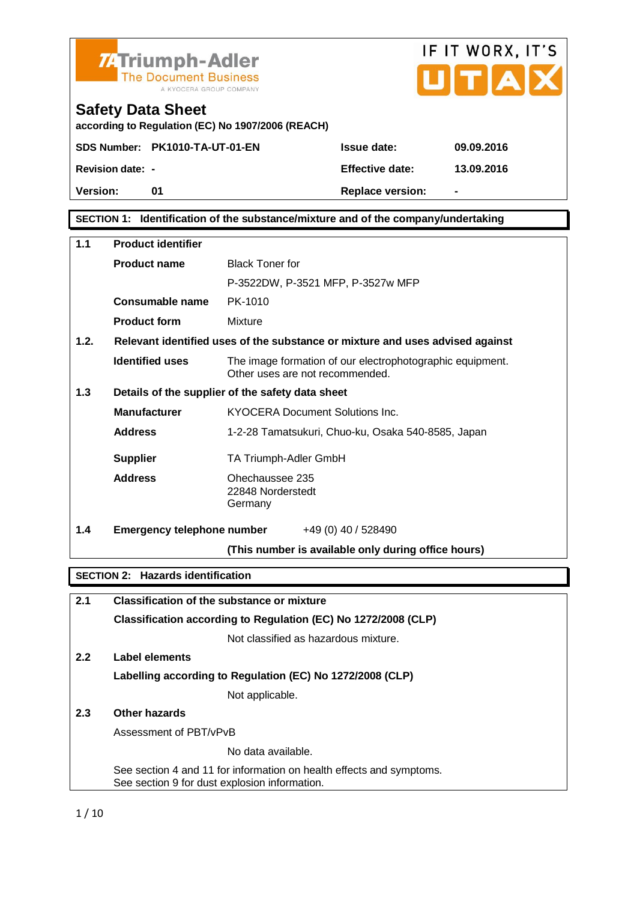



**according to Regulation (EC) No 1907/2006 (REACH)**

**SDS Number:** PK1010-TA-UT-01-EN Issue date: 09.09.2016

**Revision date:** - The Contract Effective date: 13.09.2016 Version: 01 01 Replace version: -

**SECTION** 1: Identification of the substance/mixture and of the company/undertaking

| 1.1  | Product identifier                          |                                                                                                                       |
|------|---------------------------------------------|-----------------------------------------------------------------------------------------------------------------------|
|      | Product name                                | <b>Black Toner for</b>                                                                                                |
|      |                                             | P-3522DW, P-3521 MFP, P-3527w MFP                                                                                     |
|      | Consumable name                             | PK-1010                                                                                                               |
|      | Product form                                | Mixture                                                                                                               |
| 1.2. |                                             | Relevant identified uses of the substance or mixture and uses advised against                                         |
|      | Identified uses                             | The image formation of our electrophotographic equipment.<br>Other uses are not recommended.                          |
| 1.3  |                                             | Details of the supplier of the safety data sheet                                                                      |
|      | Manufacturer                                | <b>KYOCERA Document Solutions Inc.</b>                                                                                |
|      | Address                                     | 1-2-28 Tamatsukuri, Chuo-ku, Osaka 540-8585, Japan                                                                    |
|      | Supplier                                    | TA Triumph-Adler GmbH                                                                                                 |
|      | Address                                     | Ohechaussee 235<br>22848 Norderstedt<br>Germany                                                                       |
| 1.4  | Emergency telephone number                  | +49 (0) 40 / 528490                                                                                                   |
|      |                                             | (This number is available only during office hours)                                                                   |
|      |                                             |                                                                                                                       |
|      | Hazards identification<br><b>SECTION 2:</b> |                                                                                                                       |
| 2.1  |                                             | Classification of the substance or mixture                                                                            |
|      |                                             | Classification according to Regulation (EC) No 1272/2008 (CLP)                                                        |
|      |                                             | Not classified as hazardous mixture.                                                                                  |
| 2.2  | Label elements                              |                                                                                                                       |
|      |                                             | Labelling according to Regulation (EC) No 1272/2008 (CLP)                                                             |
|      |                                             | Not applicable.                                                                                                       |
| 2.3  | Other hazards                               |                                                                                                                       |
|      | Assessment of PBT/vPvB                      |                                                                                                                       |
|      |                                             | No data available.                                                                                                    |
|      |                                             | See section 4 and 11 for information on health effects and symptoms.<br>See section 9 for dust explosion information. |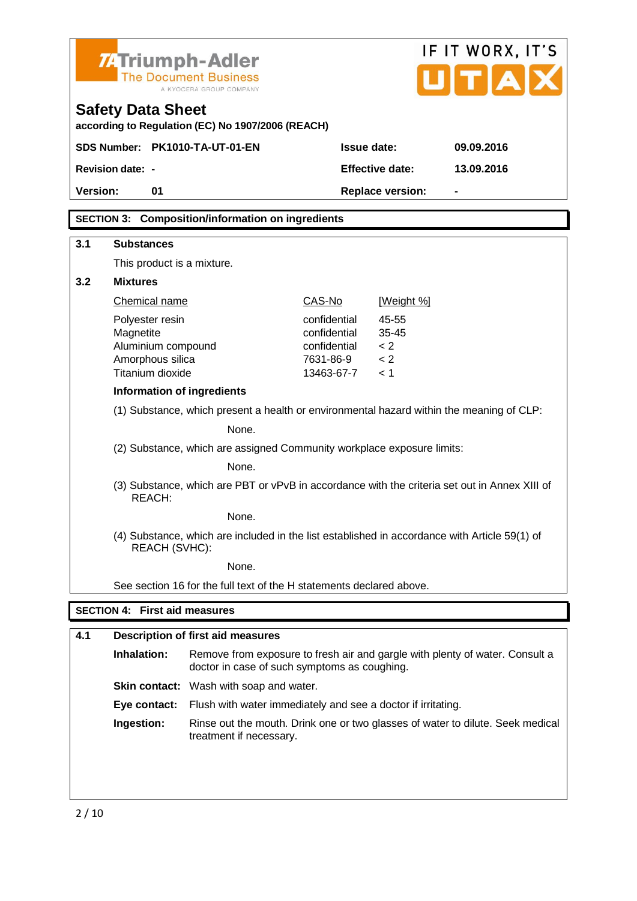| <b>ZATriumph-Adler</b><br><b>The Document Business</b><br>A KYOCERA GROUP COMPANY |                              |                    | IF IT WORX, IT'S<br>UTAX |  |
|-----------------------------------------------------------------------------------|------------------------------|--------------------|--------------------------|--|
| <b>Safety Data Sheet</b><br>according to Regulation (EC) No 1907/2006 (REACH)     |                              |                    |                          |  |
| SDS Number: PK1010-TA-UT-01-EN                                                    | Issue date:                  |                    | 09.09.2016               |  |
| <b>Revision date: -</b>                                                           |                              | Effective date:    | 13.09.2016               |  |
| Version:<br>01                                                                    |                              | Replace version:   |                          |  |
| Composition/information on ingredients<br><b>SECTION 3:</b>                       |                              |                    |                          |  |
| 3.1<br>Substances                                                                 |                              |                    |                          |  |
| This product is a mixture.                                                        |                              |                    |                          |  |
| 3.2<br><b>Mixtures</b>                                                            |                              |                    |                          |  |
| <b>Chemical name</b>                                                              | CAS-No                       | [Weight %]         |                          |  |
| Polyester resin<br>Magnetite                                                      | confidential<br>confidential | 45-55<br>$35 - 45$ |                          |  |

| Information of ingredients                                                                              |
|---------------------------------------------------------------------------------------------------------|
| (1) Substance, which present a health or environmental hazard within the meaning of CLP:                |
| None.                                                                                                   |
| (2) Substance, which are assigned Community workplace exposure limits:                                  |
| None.                                                                                                   |
| (3) Substance, which are PBT or vPvB in accordance with the criteria set out in Annex XIII of<br>REACH: |
| None.                                                                                                   |
|                                                                                                         |

(4) Substance, which are included in the list established in accordance with Article 59(1) of REACH (SVHC):

None.

Aluminium compound confidential < 2 Amorphous silica 7631-86-9 < 2 Titanium dioxide 13463-67-7 < 1

See section 16 for the full text of the H statements declared above.

#### SECTION 4: First aid measures

| 4.1 | Description of first aid measures |                                                                                                                              |
|-----|-----------------------------------|------------------------------------------------------------------------------------------------------------------------------|
|     | Inhalation:                       | Remove from exposure to fresh air and gargle with plenty of water. Consult a<br>doctor in case of such symptoms as coughing. |
|     |                                   | Skin contact: Wash with soap and water.                                                                                      |
|     | Eve contact:                      | Flush with water immediately and see a doctor if irritating.                                                                 |
|     | Ingestion:                        | Rinse out the mouth. Drink one or two glasses of water to dilute. Seek medical<br>treatment if necessary.                    |
|     |                                   |                                                                                                                              |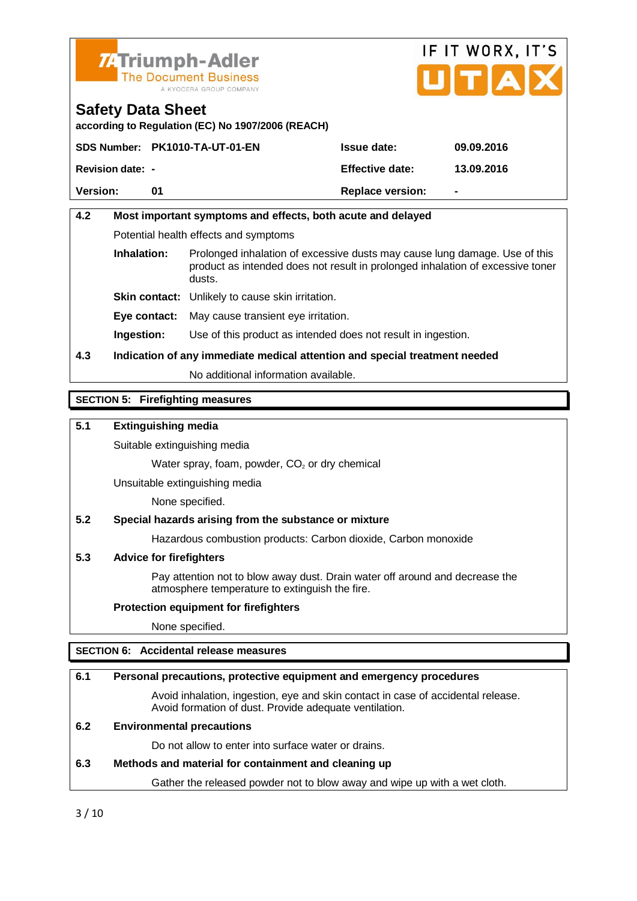



**according to Regulation (EC) No 1907/2006 (REACH)**

|                         | SDS Number: PK1010-TA-UT-01-EN | Issue date:      | 09.09.2016               |
|-------------------------|--------------------------------|------------------|--------------------------|
| <b>Revision date:</b> - |                                | Effective date:  | 13.09.2016               |
| Version:                |                                | Replace version: | $\overline{\phantom{a}}$ |

### 4.2 Most important symptoms and effects, both acute and delayed Potential health effects and symptoms

Inhalation: Prolonged inhalation of excessive dusts may cause lung damage. Use of this product as intended does not result in prolonged inhalation of excessive toner dusts.

Skin contact: Unlikely to cause skin irritation.

Eye contact: May cause transient eye irritation.

Ingestion: Use of this product as intended does not result in ingestion.

4.3 Indication of any immediate medical attention and special treatment needed

No additional information available.

#### SECTION 5: Firefighting measures

5.1 Extinguishing media

Suitable extinguishing media

Water spray, foam, powder,  $CO<sub>2</sub>$  or dry chemical

Unsuitable extinguishing media

None specified.

5.2 Special hazards arising from the substance or mixture

Hazardous combustion products: Carbon dioxide, Carbon monoxide

#### 5.3 Advice for firefighters

Pay attention not to blow away dust. Drain water off around and decrease the atmosphere temperature to extinguish the fire.

Protection equipment for firefighters

None specified.

#### SECTION 6: Accidental release measures

| 6.1 | Personal precautions, protective equipment and emergency procedures                                                                        |
|-----|--------------------------------------------------------------------------------------------------------------------------------------------|
|     | Avoid inhalation, ingestion, eye and skin contact in case of accidental release.<br>Avoid formation of dust. Provide adequate ventilation. |
| 6.2 | Environmental precautions                                                                                                                  |
|     | Do not allow to enter into surface water or drains.                                                                                        |
| 6.3 | Methods and material for containment and cleaning up                                                                                       |
|     | Gather the released powder not to blow away and wipe up with a wet cloth.                                                                  |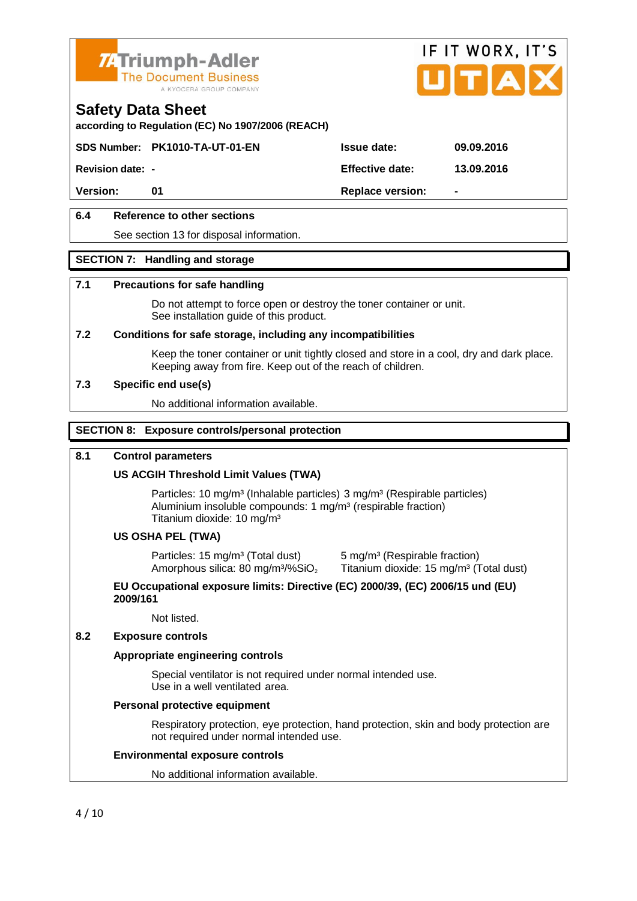



**according to Regulation (EC) No 1907/2006 (REACH)**

**SDS Number:** PK1010-TA-UT-01-EN Issue date: 09.09.2016

**Revision date:**  $\cdot$  **Effective date:** 13.09.2016

Version: 01 01 Replace version:

6.4 Reference to other sections

See section 13 for disposal information.

#### SECTION 7: Handling and storage

#### 7.1 Precautions for safe handling

Do not attempt to force open or destroy the toner container or unit. See installation guide of this product.

7.2 Conditions for safe storage, including any incompatibilities

Keep the toner container or unit tightly closed and store in a cool, dry and dark place. Keeping away from fire. Keep out of the reach of children.

7.3 Specific end use(s)

No additional information available.

#### SECTION 8: Exposure controls/personal protection

#### 8.1 Control parameters

US ACGIH Threshold Limit Values (TWA)

Particles: 10 mg/m<sup>3</sup> (Inhalable particles) 3 mg/m<sup>3</sup> (Respirable particles) Aluminium insoluble compounds: 1 mg/m<sup>3</sup> (respirable fraction) Titanium dioxide: 10 mg/m³

#### US OSHA PEL (TWA)

Particles: 15 mg/m<sup>3</sup> (Total dust) 5 mg/m<sup>3</sup> (Respirable fraction)<br>Amorphous silica: 80 mg/m<sup>3</sup>/%SiO, Titanium dioxide: 15 mg/m<sup>3</sup> (T

Titanium dioxide: 15 mg/m<sup>3</sup> (Total dust)

EU Occupational exposure limits: Directive (EC) 2000/39, (EC) 2006/15 und (EU) 2009/161

Not listed.

8.2 Exposure controls

Appropriate engineering controls

Special ventilator is not required under normal intended use. Use in a well ventilated area.

Personal protective equipment

Respiratory protection, eye protection, hand protection, skin and body protection are not required under normal intended use.

#### Environmental exposure controls

No additional information available.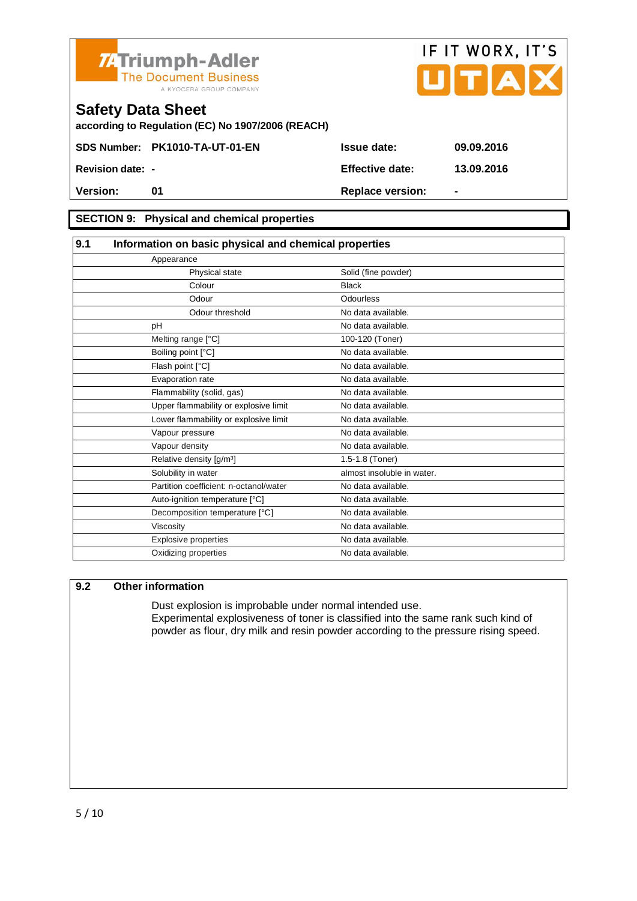



## **Safety Data Sheet according to Regulation (EC) No 1907/2006 (REACH) SDS Number:** PK1010-TA-UT-01-EN Issue date: 09.09.2016 **Revision date:**  $\cdot$  **Effective date:** 13.09.2016 Version: 01 01 Replace version: -

#### SECTION 9: Physical and chemical properties

| 9.1 | Information on basic physical and chemical properties |                            |  |
|-----|-------------------------------------------------------|----------------------------|--|
|     | Appearance                                            |                            |  |
|     | Physical state                                        | Solid (fine powder)        |  |
|     | Colour                                                | <b>Black</b>               |  |
|     | Odour                                                 | Odourless                  |  |
|     | Odour threshold                                       | No data available.         |  |
|     | pH                                                    | No data available.         |  |
|     | Melting range [°C]                                    | 100-120 (Toner)            |  |
|     | Boiling point [°C]                                    | No data available.         |  |
|     | Flash point [°C]                                      | No data available.         |  |
|     | Evaporation rate                                      | No data available.         |  |
|     | Flammability (solid, gas)                             | No data available.         |  |
|     | Upper flammability or explosive limit                 | No data available.         |  |
|     | Lower flammability or explosive limit                 | No data available.         |  |
|     | Vapour pressure                                       | No data available.         |  |
|     | Vapour density                                        | No data available.         |  |
|     | Relative density [g/m <sup>3</sup> ]                  | 1.5-1.8 (Toner)            |  |
|     | Solubility in water                                   | almost insoluble in water. |  |
|     | Partition coefficient: n-octanol/water                | No data available.         |  |
|     | Auto-ignition temperature [°C]                        | No data available.         |  |
|     | Decomposition temperature [°C]                        | No data available.         |  |
|     | Viscosity                                             | No data available.         |  |
|     | Explosive properties                                  | No data available.         |  |
|     | Oxidizing properties                                  | No data available.         |  |

#### 9.2 Other information

Dust explosion is improbable under normal intended use. Experimental explosiveness of toner is classified into the same rank such kind of powder as flour, dry milk and resin powder according to the pressure rising speed.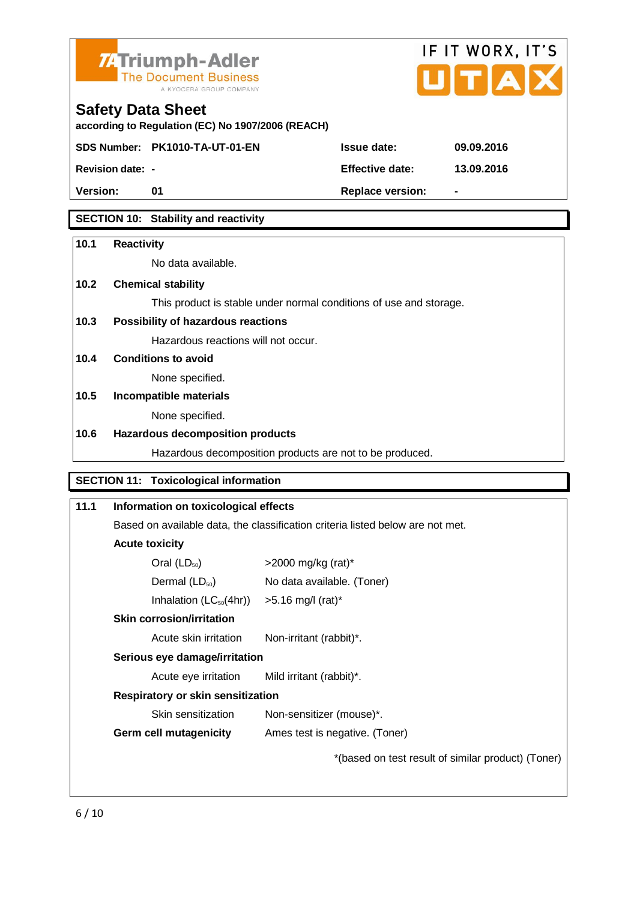

# IF IT WORX, IT'S

# **Safety Data Sheet**

| according to Regulation (EC) No 1907/2006 (REACH) |                                |                  |                |
|---------------------------------------------------|--------------------------------|------------------|----------------|
|                                                   | SDS Number: PK1010-TA-UT-01-EN | Issue date:      | 09.09.2016     |
| <b>Revision date: -</b>                           |                                | Effective date:  | 13.09.2016     |
| Version:                                          | O1.                            | Replace version: | $\blacksquare$ |
|                                                   |                                |                  |                |

SECTION 10: Stability and reactivity

| 10.1 | Reactivity                                                         |
|------|--------------------------------------------------------------------|
|      | No data available.                                                 |
| 10.2 | Chemical stability                                                 |
|      | This product is stable under normal conditions of use and storage. |
| 10.3 | Possibility of hazardous reactions                                 |
|      | Hazardous reactions will not occur.                                |
| 10.4 | Conditions to avoid                                                |
|      | None specified.                                                    |
| 10.5 | Incompatible materials                                             |
|      | None specified.                                                    |
| 10.6 | Hazardous decomposition products                                   |
|      | Hazardous decomposition products are not to be produced.           |
|      |                                                                    |
|      | SECTION 11: Toxicological information                              |

| 11.1 | Information on toxicological effects                                           |                                                    |  |
|------|--------------------------------------------------------------------------------|----------------------------------------------------|--|
|      | Based on available data, the classification criteria listed below are not met. |                                                    |  |
|      | Acute toxicity                                                                 |                                                    |  |
|      | Oral $(LD_{50})$                                                               | $>$ 2000 mg/kg (rat)*                              |  |
|      | Dermal $(LD_{50})$                                                             | No data available. (Toner)                         |  |
|      | Inhalation $(LC_{50}(4hr))$                                                    | $>5.16$ mg/l (rat)*                                |  |
|      | Skin corrosion/irritation                                                      |                                                    |  |
|      | Acute skin irritation                                                          | Non-irritant (rabbit)*.                            |  |
|      | Serious eye damage/irritation                                                  |                                                    |  |
|      | Acute eye irritation                                                           | Mild irritant (rabbit)*.                           |  |
|      | Respiratory or skin sensitization                                              |                                                    |  |
|      | Skin sensitization                                                             | Non-sensitizer (mouse)*.                           |  |
|      | Germ cell mutagenicity                                                         | Ames test is negative. (Toner)                     |  |
|      |                                                                                | *(based on test result of similar product) (Toner) |  |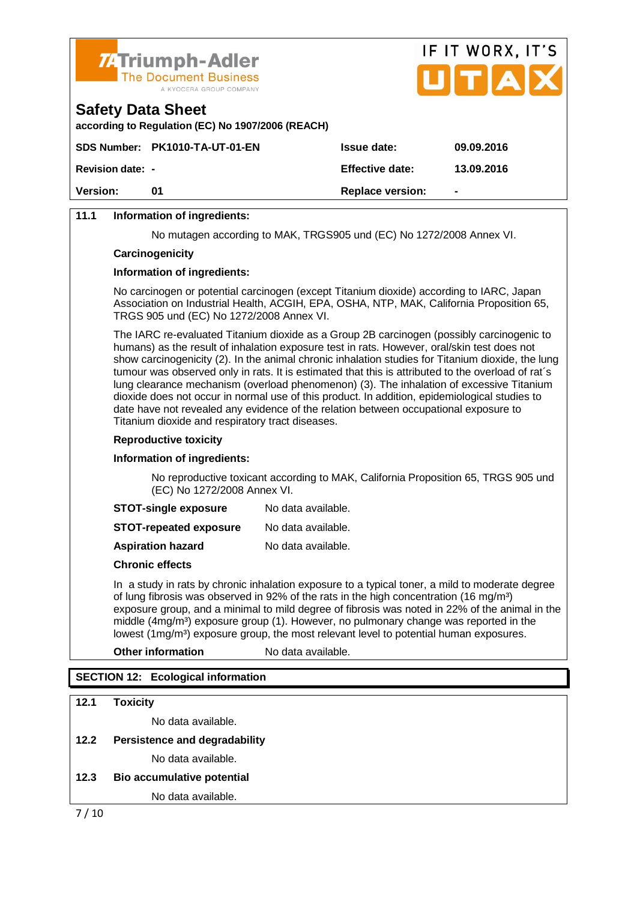



**according to Regulation (EC) No 1907/2006 (REACH)**

|                         | SDS Number: PK1010-TA-UT-01-EN | Issue date:      | 09.09.2016 |
|-------------------------|--------------------------------|------------------|------------|
| <b>Revision date: -</b> |                                | Effective date:  | 13.09.2016 |
| Version:                | O1.                            | Replace version: | ٠          |
|                         |                                |                  |            |

#### 11.1 Information of ingredients:

No mutagen according to MAK, TRGS905 und (EC) No 1272/2008 Annex VI.

**Carcinogenicity** 

Information of ingredients:

No carcinogen or potential carcinogen (except Titanium dioxide) according to IARC, Japan Association on Industrial Health, ACGIH, EPA, OSHA, NTP, MAK, California Proposition 65, TRGS 905 und (EC) No 1272/2008 Annex VI.

The IARC re-evaluated Titanium dioxide as a Group 2B carcinogen (possibly carcinogenic to humans) as the result of inhalation exposure test in rats. However, oral/skin test does not show carcinogenicity (2). In the animal chronic inhalation studies for Titanium dioxide, the lung tumour was observed only in rats. It is estimated that this is attributed to the overload of rat´s lung clearance mechanism (overload phenomenon) (3). The inhalation of excessive Titanium dioxide does not occur in normal use of this product. In addition, epidemiological studies to date have not revealed any evidence of the relation between occupational exposure to Titanium dioxide and respiratory tract diseases.

Reproductive toxicity

Information of ingredients:

No reproductive toxicant according to MAK, California Proposition 65, TRGS 905 und (EC) No 1272/2008 Annex VI.

STOT-single exposure No data available.

STOT-repeated exposure No data available.

Aspiration hazard No data available.

Chronic effects

In a study in rats by chronic inhalation exposure to a typical toner, a mild to moderate degree of lung fibrosis was observed in 92% of the rats in the high concentration (16 mg/m<sup>3</sup>) exposure group, and a minimal to mild degree of fibrosis was noted in 22% of the animal in the middle  $(4mg/m<sup>3</sup>)$  exposure group (1). However, no pulmonary change was reported in the lowest  $(1 \text{ma/m}^3)$  exposure group, the most relevant level to potential human exposures.

Other information No data available.

#### SECTION 12: Ecological information

| 12.1 | Toxicity                      |
|------|-------------------------------|
|      | No data available.            |
| 12.2 | Persistence and degradability |
|      | No data available.            |
| 12.3 | Bio accumulative potential    |
|      | No data available.            |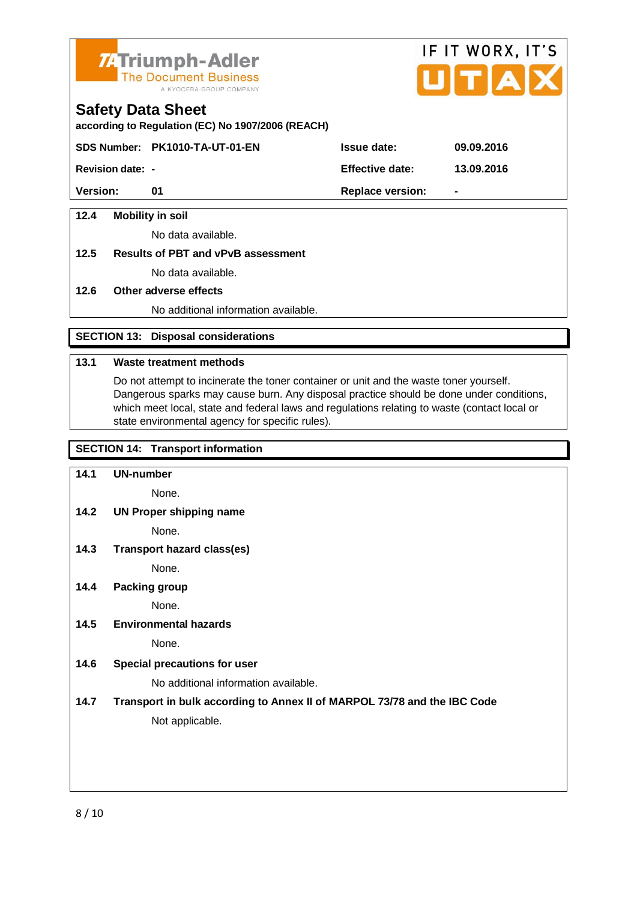

# IF IT WORX, IT'S

#### **Safety Data Sheet**

**according to Regulation (EC) No 1907/2006 (REACH)**

**SDS Number:** PK1010-TA-UT-01-EN Issue date: 09.09.2016

**Revision date:**  $\cdot$  **Effective date:** 13.09.2016

Version: 01 01 Replace version:

12.4 Mobility in soil

No data available.

12.5 Results of PBT and vPvB assessment

No data available.

12.6 Other adverse effects

No additional information available.

SECTION 13: Disposal considerations

#### 13.1 Waste treatment methods

Do not attempt to incinerate the toner container or unit and the waste toner yourself. Dangerous sparks may cause burn. Any disposal practice should be done under conditions, which meet local, state and federal laws and regulations relating to waste (contact local or state environmental agency for specific rules).

#### SECTION 14: Transport information

| 14.1 | UN-number                                                                |
|------|--------------------------------------------------------------------------|
|      | None.                                                                    |
| 14.2 | UN Proper shipping name                                                  |
|      | None.                                                                    |
| 14.3 | Transport hazard class(es)                                               |
|      | None.                                                                    |
| 14.4 | Packing group                                                            |
|      | None.                                                                    |
| 14.5 | Environmental hazards                                                    |
|      | None.                                                                    |
| 14.6 | Special precautions for user                                             |
|      | No additional information available.                                     |
| 14.7 | Transport in bulk according to Annex II of MARPOL 73/78 and the IBC Code |
|      | Not applicable.                                                          |
|      |                                                                          |
|      |                                                                          |
|      |                                                                          |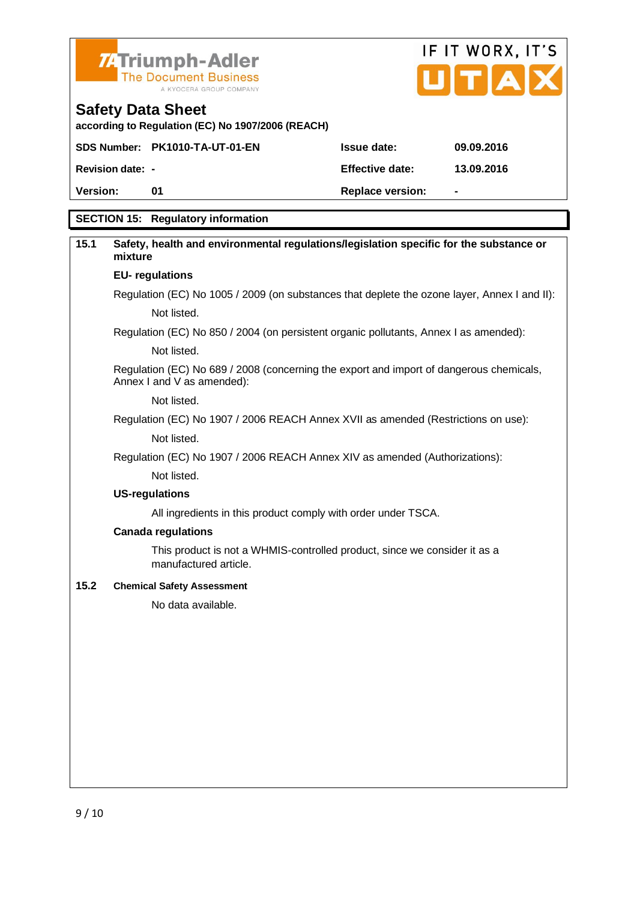



**according to Regulation (EC) No 1907/2006 (REACH)**

|                  | SDS Number: PK1010-TA-UT-01-EN | Issue date:      | 09.09.2016     |
|------------------|--------------------------------|------------------|----------------|
| Revision date: - |                                | Effective date:  | 13.09.2016     |
| Version:         | O1                             | Replace version: | $\blacksquare$ |
|                  |                                |                  |                |

#### SECTION 15: Regulatory information

| 15.1 | Safety, health and environmental regulations/legislation specific for the substance or<br>mixture                     |
|------|-----------------------------------------------------------------------------------------------------------------------|
|      | EU-regulations                                                                                                        |
|      | Regulation (EC) No 1005 / 2009 (on substances that deplete the ozone layer, Annex I and II):                          |
|      | Not listed.                                                                                                           |
|      | Regulation (EC) No 850 / 2004 (on persistent organic pollutants, Annex I as amended):                                 |
|      | Not listed.                                                                                                           |
|      | Regulation (EC) No 689 / 2008 (concerning the export and import of dangerous chemicals,<br>Annex I and V as amended): |
|      | Not listed.                                                                                                           |
|      | Regulation (EC) No 1907 / 2006 REACH Annex XVII as amended (Restrictions on use):                                     |
|      | Not listed.                                                                                                           |
|      | Regulation (EC) No 1907 / 2006 REACH Annex XIV as amended (Authorizations):                                           |
|      | Not listed.                                                                                                           |
|      | US-regulations                                                                                                        |
|      | All ingredients in this product comply with order under TSCA.                                                         |
|      | Canada regulations                                                                                                    |
|      | This product is not a WHMIS-controlled product, since we consider it as a<br>manufactured article.                    |
| 15.2 | <b>Chemical Safety Assessment</b>                                                                                     |
|      | No data available.                                                                                                    |
|      |                                                                                                                       |
|      |                                                                                                                       |
|      |                                                                                                                       |
|      |                                                                                                                       |
|      |                                                                                                                       |
|      |                                                                                                                       |
|      |                                                                                                                       |
|      |                                                                                                                       |